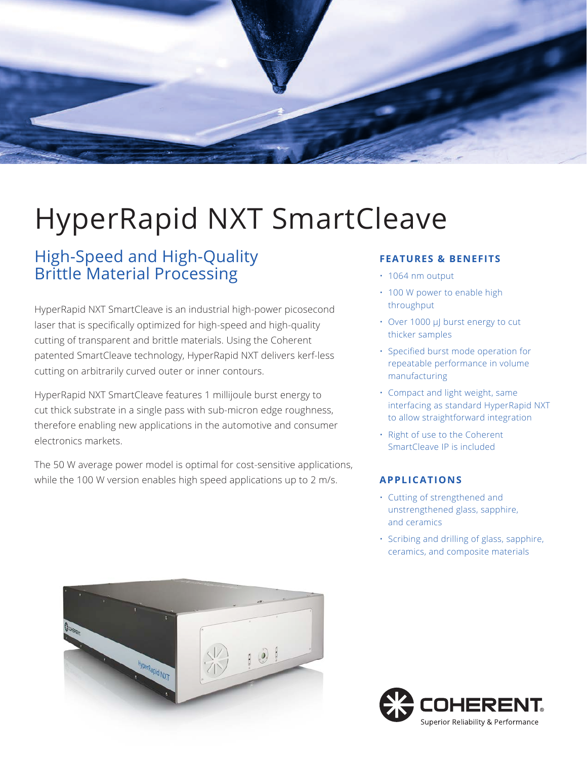

# HyperRapid NXT SmartCleave

## High-Speed and High-Quality Brittle Material Processing

HyperRapid NXT SmartCleave is an industrial high-power picosecond laser that is specifically optimized for high-speed and high-quality cutting of transparent and brittle materials. Using the Coherent patented SmartCleave technology, HyperRapid NXT delivers kerf-less cutting on arbitrarily curved outer or inner contours.

HyperRapid NXT SmartCleave features 1 millijoule burst energy to cut thick substrate in a single pass with sub-micron edge roughness, therefore enabling new applications in the automotive and consumer electronics markets.

The 50 W average power model is optimal for cost-sensitive applications, while the 100 W version enables high speed applications up to 2 m/s.

### **FEATURES & BENEFITS**

- 1064 nm output
- 100 W power to enable high throughput
- Over 1000 μJ burst energy to cut thicker samples
- Specified burst mode operation for repeatable performance in volume manufacturing
- Compact and light weight, same interfacing as standard HyperRapid NXT to allow straightforward integration
- Right of use to the Coherent SmartCleave IP is included

### **APPLICATIONS**

- Cutting of strengthened and unstrengthened glass, sapphire, and ceramics
- Scribing and drilling of glass, sapphire, ceramics, and composite materials



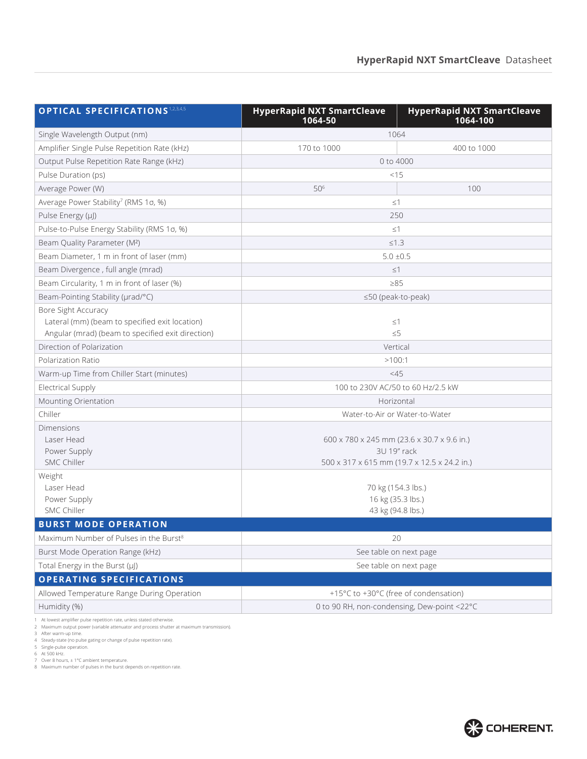| <b>OPTICAL SPECIFICATIONS 1,2,3,4,5</b>                                                                                    | <b>HyperRapid NXT SmartCleave</b><br>1064-50                                                             | <b>HyperRapid NXT SmartCleave</b><br>1064-100 |  |  |
|----------------------------------------------------------------------------------------------------------------------------|----------------------------------------------------------------------------------------------------------|-----------------------------------------------|--|--|
| Single Wavelength Output (nm)                                                                                              | 1064                                                                                                     |                                               |  |  |
| Amplifier Single Pulse Repetition Rate (kHz)                                                                               | 170 to 1000                                                                                              | 400 to 1000                                   |  |  |
| Output Pulse Repetition Rate Range (kHz)                                                                                   | 0 to 4000                                                                                                |                                               |  |  |
| Pulse Duration (ps)                                                                                                        | <15                                                                                                      |                                               |  |  |
| Average Power (W)                                                                                                          | 506                                                                                                      | 100                                           |  |  |
| Average Power Stability <sup>7</sup> (RMS 1σ, %)                                                                           | $\leq$ 1                                                                                                 |                                               |  |  |
| Pulse Energy (µJ)                                                                                                          | 250                                                                                                      |                                               |  |  |
| Pulse-to-Pulse Energy Stability (RMS 1o, %)                                                                                | $\leq$ 1                                                                                                 |                                               |  |  |
| Beam Quality Parameter (M <sup>2</sup> )                                                                                   | $≤1.3$                                                                                                   |                                               |  |  |
| Beam Diameter, 1 m in front of laser (mm)                                                                                  | $5.0 \pm 0.5$                                                                                            |                                               |  |  |
| Beam Divergence, full angle (mrad)                                                                                         | $\leq$ 1                                                                                                 |                                               |  |  |
| Beam Circularity, 1 m in front of laser (%)                                                                                | $\geq 85$                                                                                                |                                               |  |  |
| Beam-Pointing Stability (µrad/°C)                                                                                          | ≤50 (peak-to-peak)                                                                                       |                                               |  |  |
| Bore Sight Accuracy<br>Lateral (mm) (beam to specified exit location)<br>Angular (mrad) (beam to specified exit direction) | $\leq$ 1<br>$\leq 5$                                                                                     |                                               |  |  |
| Direction of Polarization                                                                                                  | Vertical                                                                                                 |                                               |  |  |
| Polarization Ratio                                                                                                         | >100:1                                                                                                   |                                               |  |  |
| Warm-up Time from Chiller Start (minutes)                                                                                  | <45                                                                                                      |                                               |  |  |
| <b>Electrical Supply</b>                                                                                                   | 100 to 230V AC/50 to 60 Hz/2.5 kW                                                                        |                                               |  |  |
| Mounting Orientation                                                                                                       | Horizontal                                                                                               |                                               |  |  |
| Chiller                                                                                                                    | Water-to-Air or Water-to-Water                                                                           |                                               |  |  |
| Dimensions<br>Laser Head<br>Power Supply<br><b>SMC Chiller</b>                                                             | 600 x 780 x 245 mm (23.6 x 30.7 x 9.6 in.)<br>3U 19" rack<br>500 x 317 x 615 mm (19.7 x 12.5 x 24.2 in.) |                                               |  |  |
| Weight<br>Laser Head<br>Power Supply<br><b>SMC Chiller</b>                                                                 | 70 kg (154.3 lbs.)<br>16 kg (35.3 lbs.)<br>43 kg (94.8 lbs.)                                             |                                               |  |  |
| <b>BURST MODE OPERATION</b>                                                                                                |                                                                                                          |                                               |  |  |
| Maximum Number of Pulses in the Burst <sup>8</sup>                                                                         | 20                                                                                                       |                                               |  |  |
| Burst Mode Operation Range (kHz)                                                                                           | See table on next page                                                                                   |                                               |  |  |
| Total Energy in the Burst (µJ)                                                                                             | See table on next page                                                                                   |                                               |  |  |
| <b>OPERATING SPECIFICATIONS</b>                                                                                            |                                                                                                          |                                               |  |  |
| Allowed Temperature Range During Operation                                                                                 | +15°C to +30°C (free of condensation)                                                                    |                                               |  |  |
| Humidity (%)                                                                                                               | 0 to 90 RH, non-condensing, Dew-point <22°C                                                              |                                               |  |  |

1 At lowest amplifier pulse repetition rate, unless stated otherwise.<br>2 Maximum output power (variable attenuator and process shutter at maximum transmission).<br>3 After warm-up time.<br>4 Steady-state (no pulse gating or chang

8 Maximum number of pulses in the burst depends on repetition rate.

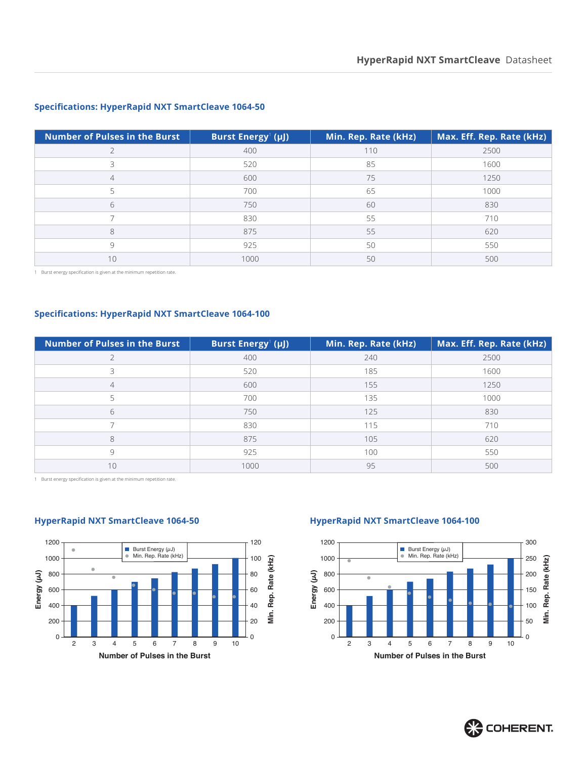### **Number of Pulses in the Burst** | Burst Energy<sup>1</sup> (µJ)  **(µJ) Min. Rep. Rate (kHz) Max. Eff. Rep. Rate (kHz)** 400 110 2500 520 85 1600 4 500 500 75 1250 700 65 1000 750 60 830 830 55 710 8 8 875 55 5 620 925 50 550 1000 50 500

### **Specifications: HyperRapid NXT SmartCleave 1064-50**

Burst energy specification is given at the minimum repetition rate.

### **Specifications: HyperRapid NXT SmartCleave 1064-100**

| <b>Number of Pulses in the Burst</b> | Burst Energy <sup>1</sup> (µJ) | Min. Rep. Rate (kHz) | Max. Eff. Rep. Rate (kHz) |
|--------------------------------------|--------------------------------|----------------------|---------------------------|
|                                      | 400                            | 240                  | 2500                      |
| 3                                    | 520                            | 185                  | 1600                      |
| 4                                    | 600                            | 155                  | 1250                      |
|                                      | 700                            | 135                  | 1000                      |
| 6                                    | 750                            | 125                  | 830                       |
|                                      | 830                            | 115                  | 710                       |
| 8                                    | 875                            | 105                  | 620                       |
| 9                                    | 925                            | 100                  | 550                       |
| 10                                   | 1000                           | 95                   | 500                       |

Burst energy specification is given at the minimum repetition rate.



### **HyperRapid NXT SmartCleave 1064-50 HyperRapid NXT SmartCleave 1064-100**



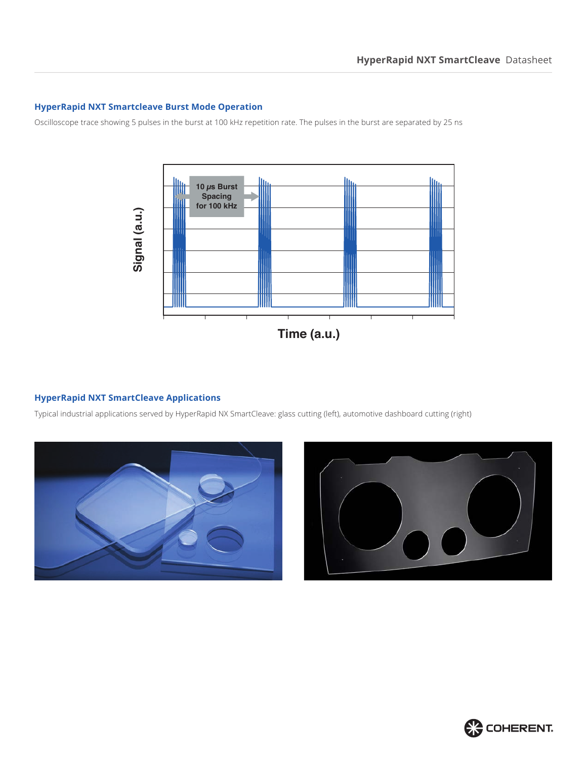### **HyperRapid NXT Smartcleave Burst Mode Operation**

Oscilloscope trace showing 5 pulses in the burst at 100 kHz repetition rate. The pulses in the burst are separated by 25 ns



### **HyperRapid NXT SmartCleave Applications**

Typical industrial applications served by HyperRapid NX SmartCleave: glass cutting (left), automotive dashboard cutting (right)